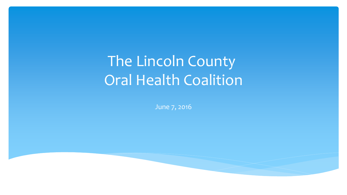# The Lincoln County Oral Health Coalition

June 7, 2016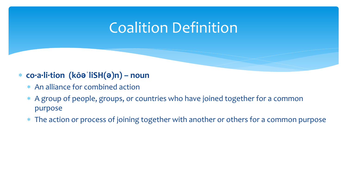## Coalition Definition

#### **co·a·li·tion (kōəˈliSH(ə)n) – noun**

- An alliance for combined action
- A group of people, groups, or countries who have joined together for a common purpose
- The action or process of joining together with another or others for a common purpose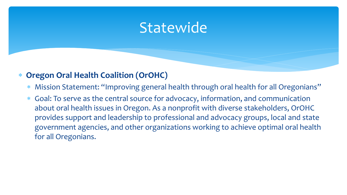### **Statewide**

#### **Oregon Oral Health Coalition (OrOHC)**

- Mission Statement: "Improving general health through oral health for all Oregonians"
- Goal: To serve as the central source for advocacy, information, and communication about oral health issues in Oregon. As a nonprofit with diverse stakeholders, OrOHC provides support and leadership to professional and advocacy groups, local and state government agencies, and other organizations working to achieve optimal oral health for all Oregonians.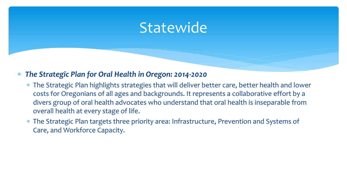### **Statewide**

#### *The Strategic Plan for Oral Health in Oregon: 2014-2020*

- The Strategic Plan highlights strategies that will deliver better care, better health and lower costs for Oregonians of all ages and backgrounds. It represents a collaborative effort by a divers group of oral health advocates who understand that oral health is inseparable from overall health at every stage of life.
- The Strategic Plan targets three priority area: Infrastructure, Prevention and Systems of Care, and Workforce Capacity.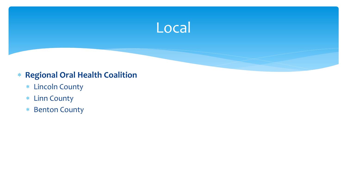

#### **Regional Oral Health Coalition**

- Lincoln County
- Linn County
- \* Benton County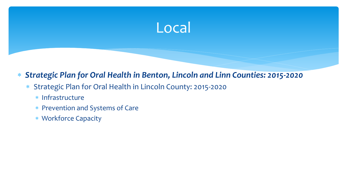#### *Strategic Plan for Oral Health in Benton, Lincoln and Linn Counties: 2015-2020*

- Strategic Plan for Oral Health in Lincoln County: 2015-2020
	- \* Infrastructure
	- Prevention and Systems of Care
	- Workforce Capacity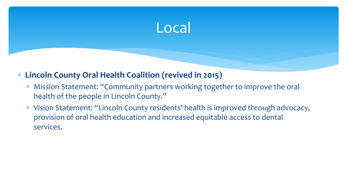#### **Lincoln County Oral Health Coalition (revived in 2015)**

- Mission Statement: "Community partners working together to improve the oral health of the people in Lincoln County."
- Vision Statement: "Lincoln County residents' health is improved through advocacy, provision of oral health education and increased equitable access to dental services.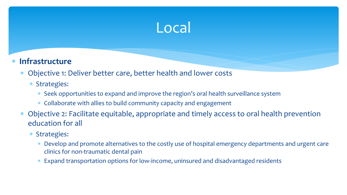#### **Infrastructure**

Objective 1: Deliver better care, better health and lower costs

#### Strategies:

- Seek opportunities to expand and improve the region's oral health surveillance system
- Collaborate with allies to build community capacity and engagement
- Objective 2: Facilitate equitable, appropriate and timely access to oral health prevention education for all
	- Strategies:
		- Develop and promote alternatives to the costly use of hospital emergency departments and urgent care clinics for non-traumatic dental pain
		- Expand transportation options for low-income, uninsured and disadvantaged residents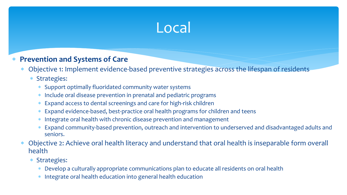#### **Prevention and Systems of Care**

Objective 1: Implement evidence-based preventive strategies across the lifespan of residents

#### Strategies:

- Support optimally fluoridated community water systems
- Include oral disease prevention in prenatal and pediatric programs
- Expand access to dental screenings and care for high-risk children
- Expand evidence-based, best-practice oral health programs for children and teens
- Integrate oral health with chronic disease prevention and management
- Expand community-based prevention, outreach and intervention to underserved and disadvantaged adults and seniors.
- Objective 2: Achieve oral health literacy and understand that oral health is inseparable form overall health
	- Strategies:
		- Develop a culturally appropriate communications plan to educate all residents on oral health
		- Integrate oral health education into general health education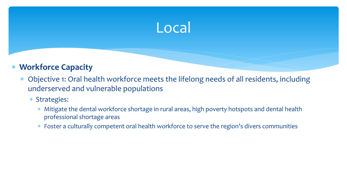#### **Workforce Capacity**

- Objective 1: Oral health workforce meets the lifelong needs of all residents, including underserved and vulnerable populations
	- Strategies:
		- Mitigate the dental workforce shortage in rural areas, high poverty hotspots and dental health professional shortage areas
		- Foster a culturally competent oral health workforce to serve the region's divers communities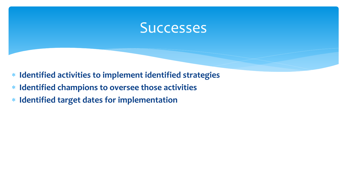### **Successes**

- **Identified activities to implement identified strategies**
- **Identified champions to oversee those activities**
- **Identified target dates for implementation**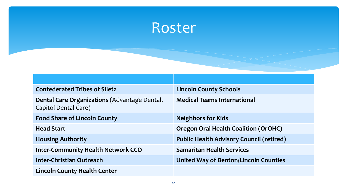## Roster

| <b>Confederated Tribes of Siletz</b>                                        | <b>Lincoln County Schools</b>                   |
|-----------------------------------------------------------------------------|-------------------------------------------------|
| <b>Dental Care Organizations (Advantage Dental,</b><br>Capitol Dental Care) | <b>Medical Teams International</b>              |
| <b>Food Share of Lincoln County</b>                                         | <b>Neighbors for Kids</b>                       |
| <b>Head Start</b>                                                           | <b>Oregon Oral Health Coalition (OrOHC)</b>     |
| <b>Housing Authority</b>                                                    | <b>Public Health Advisory Council (retired)</b> |
| <b>Inter-Community Health Network CCO</b>                                   | <b>Samaritan Health Services</b>                |
| Inter-Christian Outreach                                                    | <b>United Way of Benton/Lincoln Counties</b>    |
| <b>Lincoln County Health Center</b>                                         |                                                 |